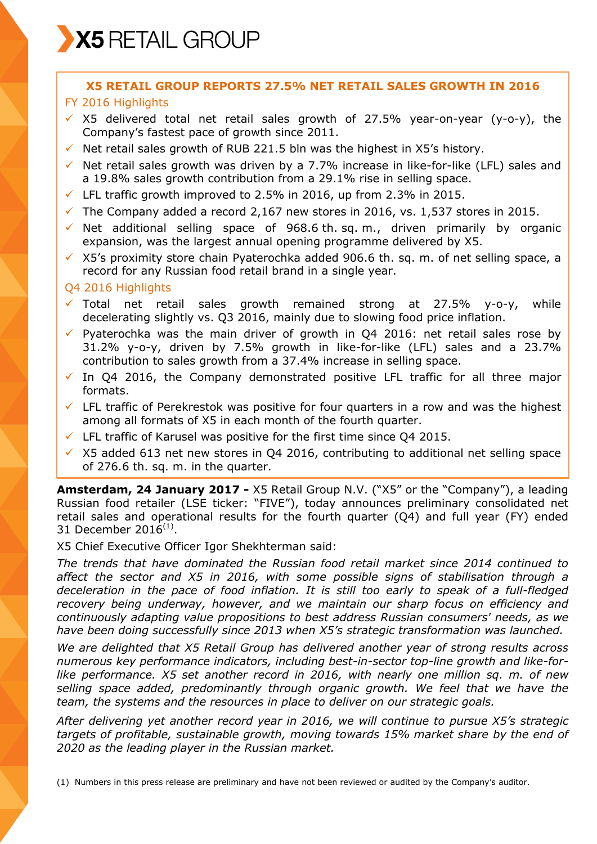X5 RETAIL GROUP

# **X5 RETAIL GROUP REPORTS 27.5% NET RETAIL SALES GROWTH IN 2016**

## FY 2016 Highlights

- $\times$  X5 delivered total net retail sales growth of 27.5% year-on-year (y-o-y), the Company's fastest pace of growth since 2011.
- $\checkmark$  Net retail sales growth of RUB 221.5 bln was the highest in X5's history.
- $\checkmark$  Net retail sales growth was driven by a 7.7% increase in like-for-like (LFL) sales and a 19.8% sales growth contribution from a 29.1% rise in selling space.
- $\checkmark$  LFL traffic growth improved to 2.5% in 2016, up from 2.3% in 2015.
- $\checkmark$  The Company added a record 2,167 new stores in 2016, vs. 1,537 stores in 2015.
- $\checkmark$  Net additional selling space of 968.6 th. sq. m., driven primarily by organic expansion, was the largest annual opening programme delivered by X5.
- $\times$  X5's proximity store chain Pyaterochka added 906.6 th. sq. m. of net selling space, a record for any Russian food retail brand in a single year.

#### Q4 2016 Highlights

- $\checkmark$  Total net retail sales growth remained strong at 27.5% y-o-y, while decelerating slightly vs. Q3 2016, mainly due to slowing food price inflation.
- $\checkmark$  Pyaterochka was the main driver of growth in Q4 2016: net retail sales rose by 31.2% y-o-y, driven by 7.5% growth in like-for-like (LFL) sales and a 23.7% contribution to sales growth from a 37.4% increase in selling space.
- $\checkmark$  In Q4 2016, the Company demonstrated positive LFL traffic for all three major formats.
- $\checkmark$  LFL traffic of Perekrestok was positive for four quarters in a row and was the highest among all formats of X5 in each month of the fourth quarter.
- $\checkmark$  LFL traffic of Karusel was positive for the first time since O4 2015.
- $\overline{\smash{0}}$  X5 added 613 net new stores in Q4 2016, contributing to additional net selling space of 276.6 th. sq. m. in the quarter.

**Amsterdam, 24 January 2017 -** X5 Retail Group N.V. ("X5" or the "Company"), a leading Russian food retailer (LSE ticker: "FIVE"), today announces preliminary consolidated net retail sales and operational results for the fourth quarter (Q4) and full year (FY) ended 31 December 2016 $^{(1)}$ .

X5 Chief Executive Officer Igor Shekhterman said:

*The trends that have dominated the Russian food retail market since 2014 continued to affect the sector and X5 in 2016, with some possible signs of stabilisation through a deceleration in the pace of food inflation. It is still too early to speak of a full-fledged recovery being underway, however, and we maintain our sharp focus on efficiency and continuously adapting value propositions to best address Russian consumers' needs, as we have been doing successfully since 2013 when X5's strategic transformation was launched.*

*We are delighted that X5 Retail Group has delivered another year of strong results across numerous key performance indicators, including best-in-sector top-line growth and like-forlike performance. X5 set another record in 2016, with nearly one million sq. m. of new selling space added, predominantly through organic growth. We feel that we have the team, the systems and the resources in place to deliver on our strategic goals.*

*After delivering yet another record year in 2016, we will continue to pursue X5's strategic targets of profitable, sustainable growth, moving towards 15% market share by the end of 2020 as the leading player in the Russian market.*

(1) Numbers in this press release are preliminary and have not been reviewed or audited by the Company's auditor.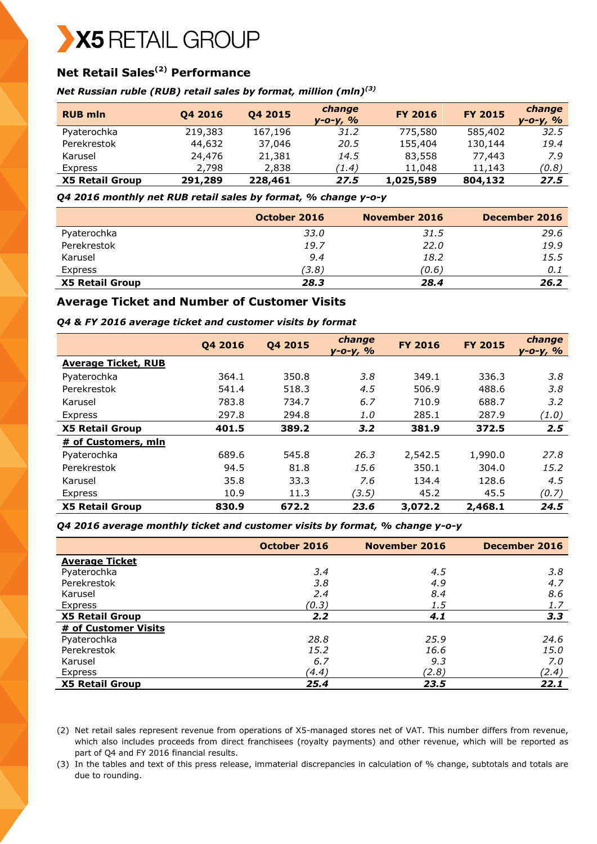# X5 RETAIL GROUP

# **Net Retail Sales(2) Performance**

#### *Net Russian ruble (RUB) retail sales by format, million (mln)(3)*

| <b>RUB mln</b>         | Q4 2016 | Q4 2015 | change<br>у-о-у, % | <b>FY 2016</b> | <b>FY 2015</b> | change<br>у-о-у, % |
|------------------------|---------|---------|--------------------|----------------|----------------|--------------------|
| Pyaterochka            | 219,383 | 167,196 | 31.2               | 775,580        | 585,402        | 32.5               |
| Perekrestok            | 44,632  | 37,046  | 20.5               | 155,404        | 130,144        | 19.4               |
| Karusel                | 24,476  | 21,381  | 14.5               | 83,558         | 77,443         | 7.9                |
| Express                | 2,798   | 2,838   | (1.4)              | 11,048         | 11,143         | (0.8)              |
| <b>X5 Retail Group</b> | 291,289 | 228,461 | 27.5               | 1,025,589      | 804,132        | 27.5               |

*Q4 2016 monthly net RUB retail sales by format, % change y-o-y* 

|                        | October 2016 | November 2016 | December 2016 |
|------------------------|--------------|---------------|---------------|
| Pyaterochka            | 33.O         | 31.5          | 29.6          |
| Perekrestok            | 19.7         | 22.0          | 19.9          |
| Karusel                | 9.4          | 18.2          | 15.5          |
| Express                | (3.8)        | (0.6)         | 0.1           |
| <b>X5 Retail Group</b> | 28.3         | 28.4          | 26.2          |

## **Average Ticket and Number of Customer Visits**

#### *Q4 & FY 2016 average ticket and customer visits by format*

|                            | Q4 2016 | Q4 2015 | change<br>$V - O - V, %$ | <b>FY 2016</b> | <b>FY 2015</b> | change<br>y-o-y, % |
|----------------------------|---------|---------|--------------------------|----------------|----------------|--------------------|
| <b>Average Ticket, RUB</b> |         |         |                          |                |                |                    |
| Pyaterochka                | 364.1   | 350.8   | 3.8                      | 349.1          | 336.3          | 3.8                |
| Perekrestok                | 541.4   | 518.3   | 4.5                      | 506.9          | 488.6          | 3.8                |
| Karusel                    | 783.8   | 734.7   | 6.7                      | 710.9          | 688.7          | 3.2                |
| Express                    | 297.8   | 294.8   | 1.0                      | 285.1          | 287.9          | (1.0)              |
| <b>X5 Retail Group</b>     | 401.5   | 389.2   | 3.2                      | 381.9          | 372.5          | 2.5                |
| # of Customers, mln        |         |         |                          |                |                |                    |
| Pyaterochka                | 689.6   | 545.8   | 26.3                     | 2,542.5        | 1,990.0        | 27.8               |
| Perekrestok                | 94.5    | 81.8    | 15.6                     | 350.1          | 304.0          | 15.2               |
| Karusel                    | 35.8    | 33.3    | 7.6                      | 134.4          | 128.6          | 4.5                |
| Express                    | 10.9    | 11.3    | (3.5)                    | 45.2           | 45.5           | (0.7)              |
| <b>X5 Retail Group</b>     | 830.9   | 672.2   | 23.6                     | 3,072.2        | 2,468.1        | 24.5               |

#### *Q4 2016 average monthly ticket and customer visits by format, % change y-o-y*

|                        | October 2016 | November 2016 | December 2016 |
|------------------------|--------------|---------------|---------------|
| <b>Average Ticket</b>  |              |               |               |
| Pyaterochka            | 3.4          | 4.5           | 3.8           |
| Perekrestok            | 3.8          | 4.9           | 4.7           |
| Karusel                | 2.4          | 8.4           | 8.6           |
| Express                | (0.3)        | 1.5           | 1.7           |
| <b>X5 Retail Group</b> | 2.2          | 4.1           | 3.3           |
| # of Customer Visits   |              |               |               |
| Pyaterochka            | 28.8         | 25.9          | 24.6          |
| Perekrestok            | 15.2         | 16.6          | 15.0          |
| Karusel                | 6.7          | 9.3           | 7.0           |
| Express                | (4.4)        | (2.8)         | (2.4)         |
| <b>X5 Retail Group</b> | 25.4         | 23.5          | 22.1          |

(2) Net retail sales represent revenue from operations of X5-managed stores net of VAT. This number differs from revenue, which also includes proceeds from direct franchisees (royalty payments) and other revenue, which will be reported as part of Q4 and FY 2016 financial results.

(3) In the tables and text of this press release, immaterial discrepancies in calculation of % change, subtotals and totals are due to rounding.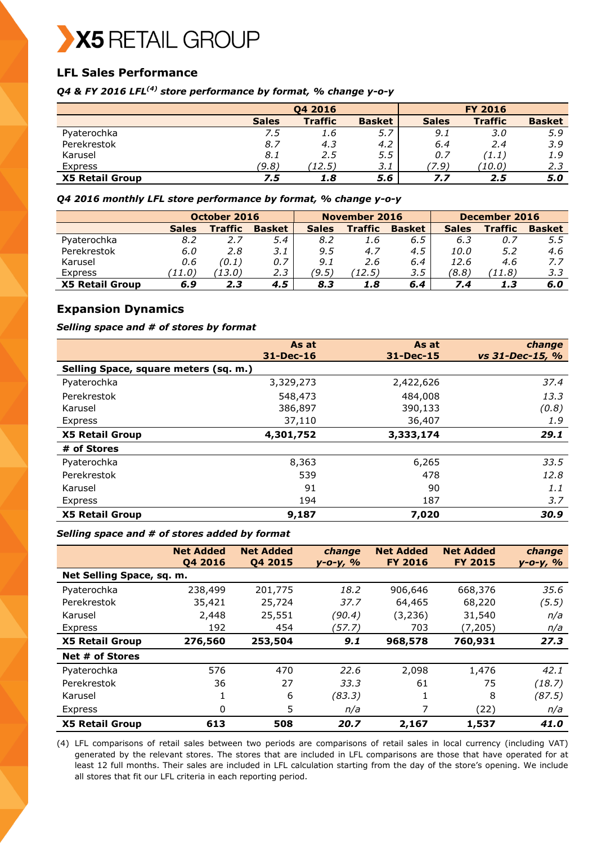

# **LFL Sales Performance**

*Q4 & FY 2016 LFL(4) store performance by format, % change y-o-y*

|                        |              | <b>FY 2016</b> |               |              |                |               |
|------------------------|--------------|----------------|---------------|--------------|----------------|---------------|
|                        | <b>Sales</b> | <b>Traffic</b> | <b>Basket</b> | <b>Sales</b> | <b>Traffic</b> | <b>Basket</b> |
| Pyaterochka            | 7.5          | 1.6            | 5.7           | 9.1          | 3.0            | 5.9           |
| Perekrestok            | 8.7          | 4.3            | 4.2           | 6.4          | 2.4            | 3.9           |
| Karusel                | 8.1          | 2.5            | 5.5           | 0.7          | (1.1)          | 1.9           |
| Express                | (9.8)        | (12.5)         | 3.1           | 7.9)         | (10.0)         | 2.3           |
| <b>X5 Retail Group</b> | 7.5          | 1.8            | 5.6           | 7.7          | 2.5            | 5.0           |

*Q4 2016 monthly LFL store performance by format, % change y-o-y* 

|                        | October 2016 |                | November 2016 |              |                | December 2016 |              |                |               |
|------------------------|--------------|----------------|---------------|--------------|----------------|---------------|--------------|----------------|---------------|
|                        | <b>Sales</b> | <b>Traffic</b> | <b>Basket</b> | <b>Sales</b> | <b>Traffic</b> | <b>Basket</b> | <b>Sales</b> | <b>Traffic</b> | <b>Basket</b> |
| Pyaterochka            | 8.2          | 2.7            | 5.4           | 8.2          | 1.6            | 6.5           | 6.3          | 0.7            | 5.5           |
| Perekrestok            | 6.0          | 2.8            | 3.1           | 9.5          | 4.7            | 4.5           | 10.0         | 5.2            | 4.6           |
| Karusel                | 0.6          | (0.1)          | 0.7           | 9.1          | 2.6            | 6.4           | 12.6         | 4.6            | 7.7           |
| <b>Express</b>         | 71.O)        | 73.O)          | 2.3           | (9.5)        | (12.5)         | 3.5           | (8.8)        | 71.8)          | 3.3           |
| <b>X5 Retail Group</b> | 6.9          | 2.3            | 4.5           | 8.3          | 1.8            | 6.4           | 7.4          | 1.3            | 6.0           |

## **Expansion Dynamics**

#### *Selling space and # of stores by format*

|                                       | As at<br>31-Dec-16 | As at<br>$31 - Dec-15$ | change<br>vs 31-Dec-15, % |
|---------------------------------------|--------------------|------------------------|---------------------------|
| Selling Space, square meters (sq. m.) |                    |                        |                           |
| Pyaterochka                           | 3,329,273          | 2,422,626              | 37.4                      |
| Perekrestok                           | 548,473            | 484,008                | 13.3                      |
| Karusel                               | 386,897            | 390,133                | (0.8)                     |
| Express                               | 37,110             | 36,407                 | 1.9                       |
| <b>X5 Retail Group</b>                | 4,301,752          | 3,333,174              | 29.1                      |
| # of Stores                           |                    |                        |                           |
| Pyaterochka                           | 8,363              | 6,265                  | 33.5                      |
| Perekrestok                           | 539                | 478                    | 12.8                      |
| Karusel                               | 91                 | 90                     | 1.1                       |
| Express                               | 194                | 187                    | 3.7                       |
| <b>X5 Retail Group</b>                | 9,187              | 7,020                  | 30.9                      |

#### *Selling space and # of stores added by format*

|                           | <b>Net Added</b><br>04 2016 | <b>Net Added</b><br>Q4 2015 | change<br>$y - 0 - y, \frac{9}{6}$ | <b>Net Added</b><br><b>FY 2016</b> | <b>Net Added</b><br><b>FY 2015</b> | change<br>$y - o - y, \frac{o}{o}$ |
|---------------------------|-----------------------------|-----------------------------|------------------------------------|------------------------------------|------------------------------------|------------------------------------|
| Net Selling Space, sq. m. |                             |                             |                                    |                                    |                                    |                                    |
| Pyaterochka               | 238,499                     | 201,775                     | 18.2                               | 906,646                            | 668,376                            | 35.6                               |
| Perekrestok               | 35,421                      | 25,724                      | 37.7                               | 64,465                             | 68,220                             | (5.5)                              |
| Karusel                   | 2,448                       | 25,551                      | (90.4)                             | (3,236)                            | 31,540                             | n/a                                |
| Express                   | 192                         | 454                         | (57.7)                             | 703                                | (7,205)                            | n/a                                |
| <b>X5 Retail Group</b>    | 276,560                     | 253,504                     | 9.1                                | 968,578                            | 760,931                            | 27.3                               |
| Net # of Stores           |                             |                             |                                    |                                    |                                    |                                    |
| Pyaterochka               | 576                         | 470                         | 22.6                               | 2,098                              | 1,476                              | 42.1                               |
| Perekrestok               | 36                          | 27                          | 33.3                               | 61                                 | 75                                 | (18.7)                             |
| Karusel                   | T                           | 6                           | (83.3)                             | 1                                  | 8                                  | (87.5)                             |
| Express                   | 0                           | 5                           | n/a                                | 7                                  | (22)                               | n/a                                |
| <b>X5 Retail Group</b>    | 613                         | 508                         | 20.7                               | 2,167                              | 1,537                              | 41.0                               |

(4) LFL comparisons of retail sales between two periods are comparisons of retail sales in local currency (including VAT) generated by the relevant stores. The stores that are included in LFL comparisons are those that have operated for at least 12 full months. Their sales are included in LFL calculation starting from the day of the store's opening. We include all stores that fit our LFL criteria in each reporting period.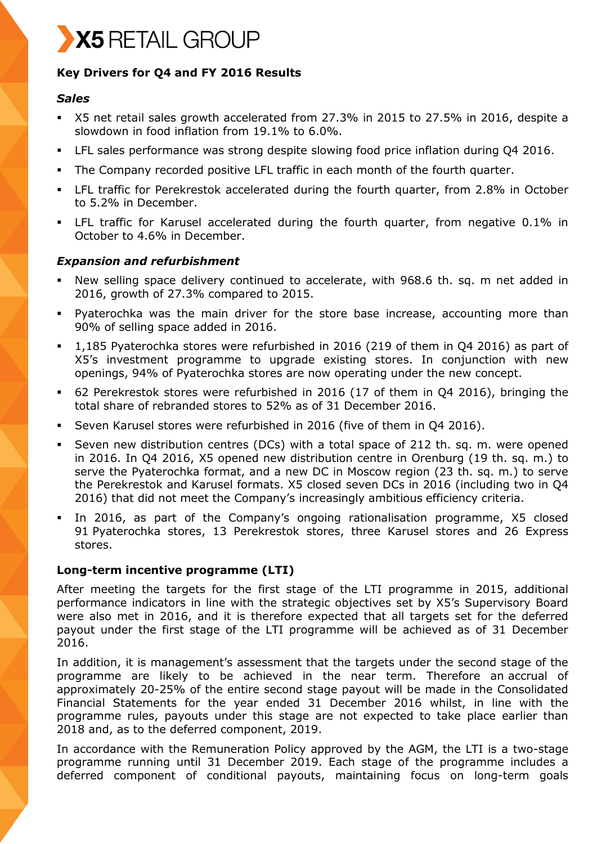# X5 RETAIL GROUP

# **Key Drivers for Q4 and FY 2016 Results**

## *Sales*

- X5 net retail sales growth accelerated from 27.3% in 2015 to 27.5% in 2016, despite a slowdown in food inflation from 19.1% to 6.0%.
- LFL sales performance was strong despite slowing food price inflation during Q4 2016.
- The Company recorded positive LFL traffic in each month of the fourth quarter.
- LFL traffic for Perekrestok accelerated during the fourth quarter, from 2.8% in October to 5.2% in December.
- LFL traffic for Karusel accelerated during the fourth quarter, from negative 0.1% in October to 4.6% in December.

## *Expansion and refurbishment*

- New selling space delivery continued to accelerate, with 968.6 th. sq. m net added in 2016, growth of 27.3% compared to 2015.
- Pyaterochka was the main driver for the store base increase, accounting more than 90% of selling space added in 2016.
- 1,185 Pyaterochka stores were refurbished in 2016 (219 of them in Q4 2016) as part of X5's investment programme to upgrade existing stores. In conjunction with new openings, 94% of Pyaterochka stores are now operating under the new concept.
- 62 Perekrestok stores were refurbished in 2016 (17 of them in Q4 2016), bringing the total share of rebranded stores to 52% as of 31 December 2016.
- Seven Karusel stores were refurbished in 2016 (five of them in Q4 2016).
- Seven new distribution centres (DCs) with a total space of 212 th. sq. m. were opened in 2016. In Q4 2016, X5 opened new distribution centre in Orenburg (19 th. sq. m.) to serve the Pyaterochka format, and a new DC in Moscow region (23 th. sq. m.) to serve the Perekrestok and Karusel formats. X5 closed seven DCs in 2016 (including two in Q4 2016) that did not meet the Company's increasingly ambitious efficiency criteria.
- In 2016, as part of the Company's ongoing rationalisation programme, X5 closed 91 Pyaterochka stores, 13 Perekrestok stores, three Karusel stores and 26 Express stores.

## **Long-term incentive programme (LTI)**

After meeting the targets for the first stage of the LTI programme in 2015, additional performance indicators in line with the strategic objectives set by X5's Supervisory Board were also met in 2016, and it is therefore expected that all targets set for the deferred payout under the first stage of the LTI programme will be achieved as of 31 December 2016.

In addition, it is management's assessment that the targets under the second stage of the programme are likely to be achieved in the near term. Therefore an accrual of approximately 20-25% of the entire second stage payout will be made in the Consolidated Financial Statements for the year ended 31 December 2016 whilst, in line with the programme rules, payouts under this stage are not expected to take place earlier than 2018 and, as to the deferred component, 2019.

In accordance with the Remuneration Policy approved by the AGM, the LTI is a two-stage programme running until 31 December 2019. Each stage of the programme includes a deferred component of conditional payouts, maintaining focus on long-term goals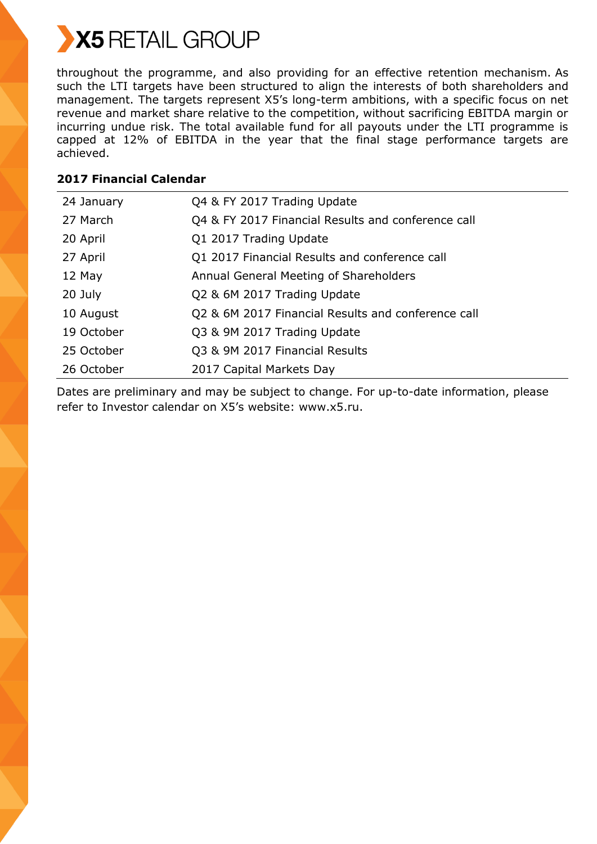

throughout the programme, and also providing for an effective retention mechanism. As such the LTI targets have been structured to align the interests of both shareholders and management. The targets represent X5's long-term ambitions, with a specific focus on net revenue and market share relative to the competition, without sacrificing EBITDA margin or incurring undue risk. The total available fund for all payouts under the LTI programme is capped at 12% of EBITDA in the year that the final stage performance targets are achieved.

# **2017 Financial Calendar**

| 24 January | Q4 & FY 2017 Trading Update                        |
|------------|----------------------------------------------------|
| 27 March   | Q4 & FY 2017 Financial Results and conference call |
| 20 April   | Q1 2017 Trading Update                             |
| 27 April   | Q1 2017 Financial Results and conference call      |
| 12 May     | Annual General Meeting of Shareholders             |
| 20 July    | Q2 & 6M 2017 Trading Update                        |
| 10 August  | Q2 & 6M 2017 Financial Results and conference call |
| 19 October | Q3 & 9M 2017 Trading Update                        |
| 25 October | Q3 & 9M 2017 Financial Results                     |
| 26 October | 2017 Capital Markets Day                           |

Dates are preliminary and may be subject to change. For up-to-date information, please refer to Investor calendar on X5's website: www.x5.ru.